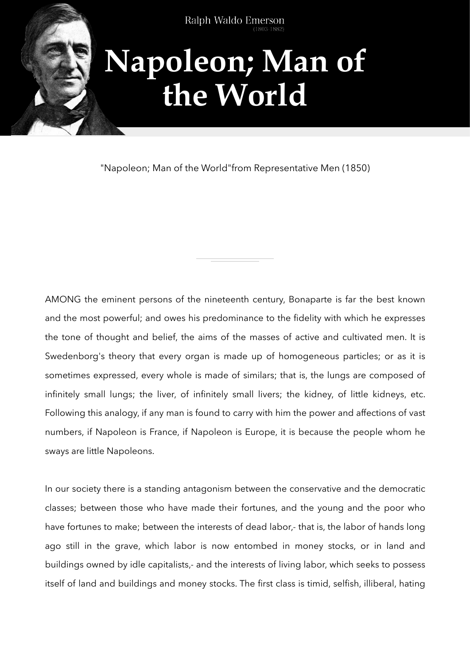

"Napoleon; Man of the World"from Representative Men (1850)

AMONG the eminent persons of the nineteenth century, Bonaparte is far the best known and the most powerful; and owes his predominance to the fidelity with which he expresses the tone of thought and belief, the aims of the masses of active and cultivated men. It is Swedenborg's theory that every organ is made up of homogeneous particles; or as it is sometimes expressed, every whole is made of similars; that is, the lungs are composed of infinitely small lungs; the liver, of infinitely small livers; the kidney, of little kidneys, etc. Following this analogy, if any man is found to carry with him the power and affections of vast numbers, if Napoleon is France, if Napoleon is Europe, it is because the people whom he sways are little Napoleons.

In our society there is a standing antagonism between the conservative and the democratic classes; between those who have made their fortunes, and the young and the poor who have fortunes to make; between the interests of dead labor,- that is, the labor of hands long ago still in the grave, which labor is now entombed in money stocks, or in land and buildings owned by idle capitalists,- and the interests of living labor, which seeks to possess itself of land and buildings and money stocks. The first class is timid, selfish, illiberal, hating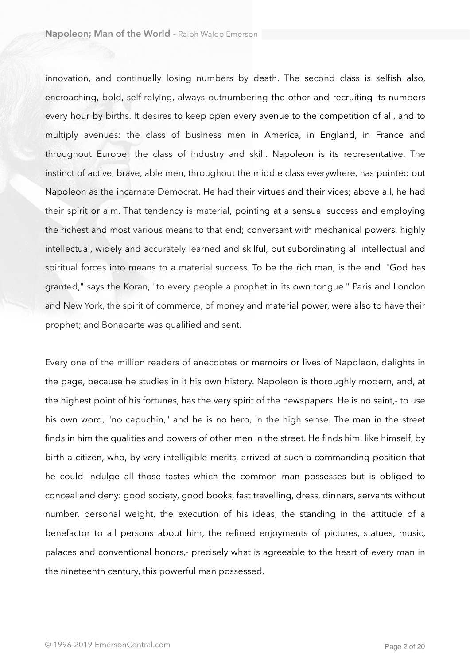innovation, and continually losing numbers by death. The second class is selfish also, encroaching, bold, self-relying, always outnumbering the other and recruiting its numbers every hour by births. It desires to keep open every avenue to the competition of all, and to multiply avenues: the class of business men in America, in England, in France and throughout Europe; the class of industry and skill. Napoleon is its representative. The instinct of active, brave, able men, throughout the middle class everywhere, has pointed out Napoleon as the incarnate Democrat. He had their virtues and their vices; above all, he had their spirit or aim. That tendency is material, pointing at a sensual success and employing the richest and most various means to that end; conversant with mechanical powers, highly intellectual, widely and accurately learned and skilful, but subordinating all intellectual and spiritual forces into means to a material success. To be the rich man, is the end. "God has granted," says the Koran, "to every people a prophet in its own tongue." Paris and London and New York, the spirit of commerce, of money and material power, were also to have their prophet; and Bonaparte was qualified and sent.

Every one of the million readers of anecdotes or memoirs or lives of Napoleon, delights in the page, because he studies in it his own history. Napoleon is thoroughly modern, and, at the highest point of his fortunes, has the very spirit of the newspapers. He is no saint,- to use his own word, "no capuchin," and he is no hero, in the high sense. The man in the street finds in him the qualities and powers of other men in the street. He finds him, like himself, by birth a citizen, who, by very intelligible merits, arrived at such a commanding position that he could indulge all those tastes which the common man possesses but is obliged to conceal and deny: good society, good books, fast travelling, dress, dinners, servants without number, personal weight, the execution of his ideas, the standing in the attitude of a benefactor to all persons about him, the refined enjoyments of pictures, statues, music, palaces and conventional honors,- precisely what is agreeable to the heart of every man in the nineteenth century, this powerful man possessed.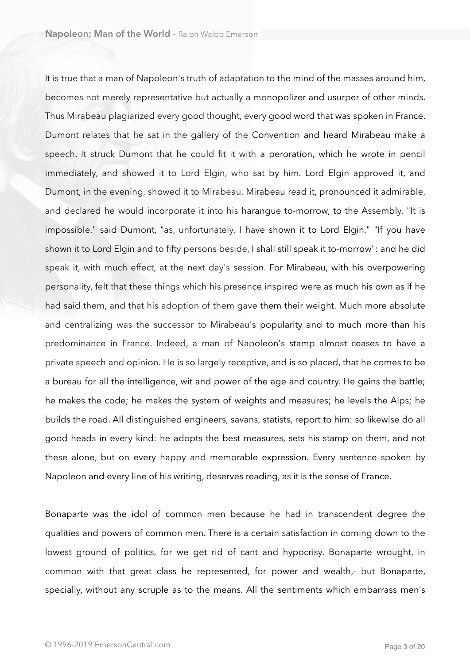It is true that a man of Napoleon's truth of adaptation to the mind of the masses around him, becomes not merely representative but actually a monopolizer and usurper of other minds. Thus Mirabeau plagiarized every good thought, every good word that was spoken in France. Dumont relates that he sat in the gallery of the Convention and heard Mirabeau make a speech. It struck Dumont that he could fit it with a peroration, which he wrote in pencil immediately, and showed it to Lord Elgin, who sat by him. Lord Elgin approved it, and Dumont, in the evening, showed it to Mirabeau. Mirabeau read it, pronounced it admirable, and declared he would incorporate it into his harangue to-morrow, to the Assembly. "It is impossible," said Dumont, "as, unfortunately, I have shown it to Lord Elgin." "If you have shown it to Lord Elgin and to fifty persons beside, I shall still speak it to-morrow": and he did speak it, with much effect, at the next day's session. For Mirabeau, with his overpowering personality, felt that these things which his presence inspired were as much his own as if he had said them, and that his adoption of them gave them their weight. Much more absolute and centralizing was the successor to Mirabeau's popularity and to much more than his predominance in France. Indeed, a man of Napoleon's stamp almost ceases to have a private speech and opinion. He is so largely receptive, and is so placed, that he comes to be a bureau for all the intelligence, wit and power of the age and country. He gains the battle; he makes the code; he makes the system of weights and measures; he levels the Alps; he builds the road. All distinguished engineers, savans, statists, report to him: so likewise do all good heads in every kind: he adopts the best measures, sets his stamp on them, and not these alone, but on every happy and memorable expression. Every sentence spoken by Napoleon and every line of his writing, deserves reading, as it is the sense of France.

Bonaparte was the idol of common men because he had in transcendent degree the qualities and powers of common men. There is a certain satisfaction in coming down to the lowest ground of politics, for we get rid of cant and hypocrisy. Bonaparte wrought, in common with that great class he represented, for power and wealth,- but Bonaparte, specially, without any scruple as to the means. All the sentiments which embarrass men's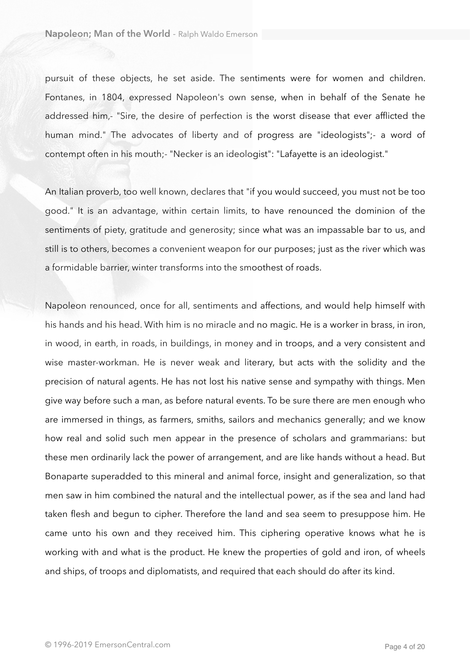pursuit of these objects, he set aside. The sentiments were for women and children. Fontanes, in 1804, expressed Napoleon's own sense, when in behalf of the Senate he addressed him,- "Sire, the desire of perfection is the worst disease that ever afflicted the human mind." The advocates of liberty and of progress are "ideologists";- a word of contempt often in his mouth;- "Necker is an ideologist": "Lafayette is an ideologist."

An Italian proverb, too well known, declares that "if you would succeed, you must not be too good." It is an advantage, within certain limits, to have renounced the dominion of the sentiments of piety, gratitude and generosity; since what was an impassable bar to us, and still is to others, becomes a convenient weapon for our purposes; just as the river which was a formidable barrier, winter transforms into the smoothest of roads.

Napoleon renounced, once for all, sentiments and affections, and would help himself with his hands and his head. With him is no miracle and no magic. He is a worker in brass, in iron, in wood, in earth, in roads, in buildings, in money and in troops, and a very consistent and wise master-workman. He is never weak and literary, but acts with the solidity and the precision of natural agents. He has not lost his native sense and sympathy with things. Men give way before such a man, as before natural events. To be sure there are men enough who are immersed in things, as farmers, smiths, sailors and mechanics generally; and we know how real and solid such men appear in the presence of scholars and grammarians: but these men ordinarily lack the power of arrangement, and are like hands without a head. But Bonaparte superadded to this mineral and animal force, insight and generalization, so that men saw in him combined the natural and the intellectual power, as if the sea and land had taken flesh and begun to cipher. Therefore the land and sea seem to presuppose him. He came unto his own and they received him. This ciphering operative knows what he is working with and what is the product. He knew the properties of gold and iron, of wheels and ships, of troops and diplomatists, and required that each should do after its kind.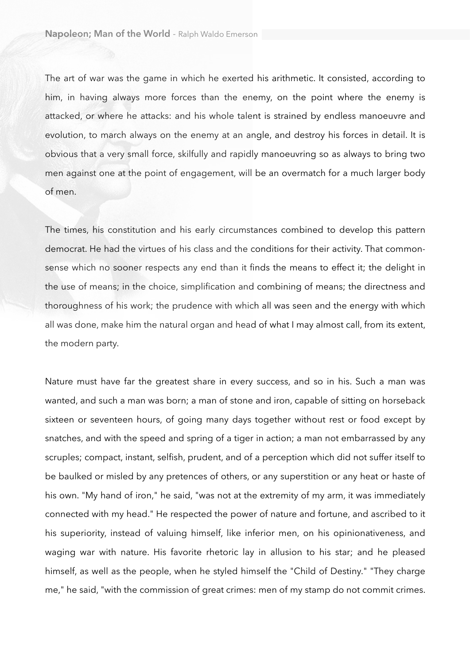The art of war was the game in which he exerted his arithmetic. It consisted, according to him, in having always more forces than the enemy, on the point where the enemy is attacked, or where he attacks: and his whole talent is strained by endless manoeuvre and evolution, to march always on the enemy at an angle, and destroy his forces in detail. It is obvious that a very small force, skilfully and rapidly manoeuvring so as always to bring two men against one at the point of engagement, will be an overmatch for a much larger body of men.

The times, his constitution and his early circumstances combined to develop this pattern democrat. He had the virtues of his class and the conditions for their activity. That commonsense which no sooner respects any end than it finds the means to effect it; the delight in the use of means; in the choice, simplification and combining of means; the directness and thoroughness of his work; the prudence with which all was seen and the energy with which all was done, make him the natural organ and head of what I may almost call, from its extent, the modern party.

Nature must have far the greatest share in every success, and so in his. Such a man was wanted, and such a man was born; a man of stone and iron, capable of sitting on horseback sixteen or seventeen hours, of going many days together without rest or food except by snatches, and with the speed and spring of a tiger in action; a man not embarrassed by any scruples; compact, instant, selfish, prudent, and of a perception which did not suffer itself to be baulked or misled by any pretences of others, or any superstition or any heat or haste of his own. "My hand of iron," he said, "was not at the extremity of my arm, it was immediately connected with my head." He respected the power of nature and fortune, and ascribed to it his superiority, instead of valuing himself, like inferior men, on his opinionativeness, and waging war with nature. His favorite rhetoric lay in allusion to his star; and he pleased himself, as well as the people, when he styled himself the "Child of Destiny." "They charge me," he said, "with the commission of great crimes: men of my stamp do not commit crimes.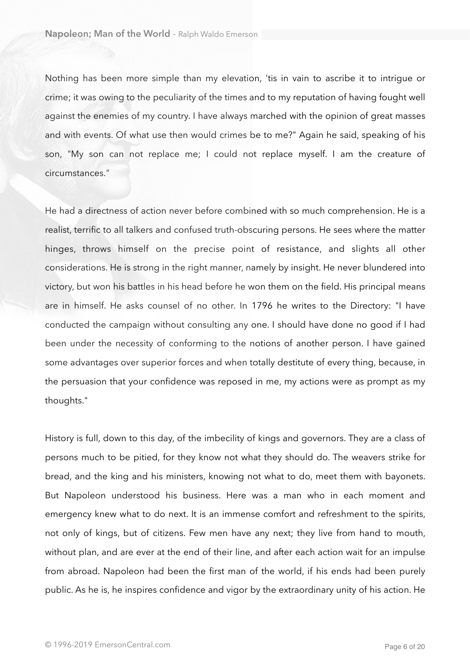Nothing has been more simple than my elevation, 'tis in vain to ascribe it to intrigue or crime; it was owing to the peculiarity of the times and to my reputation of having fought well against the enemies of my country. I have always marched with the opinion of great masses and with events. Of what use then would crimes be to me?" Again he said, speaking of his son, "My son can not replace me; I could not replace myself. I am the creature of circumstances."

He had a directness of action never before combined with so much comprehension. He is a realist, terrific to all talkers and confused truth-obscuring persons. He sees where the matter hinges, throws himself on the precise point of resistance, and slights all other considerations. He is strong in the right manner, namely by insight. He never blundered into victory, but won his battles in his head before he won them on the field. His principal means are in himself. He asks counsel of no other. In 1796 he writes to the Directory: "I have conducted the campaign without consulting any one. I should have done no good if I had been under the necessity of conforming to the notions of another person. I have gained some advantages over superior forces and when totally destitute of every thing, because, in the persuasion that your confidence was reposed in me, my actions were as prompt as my thoughts."

History is full, down to this day, of the imbecility of kings and governors. They are a class of persons much to be pitied, for they know not what they should do. The weavers strike for bread, and the king and his ministers, knowing not what to do, meet them with bayonets. But Napoleon understood his business. Here was a man who in each moment and emergency knew what to do next. It is an immense comfort and refreshment to the spirits, not only of kings, but of citizens. Few men have any next; they live from hand to mouth, without plan, and are ever at the end of their line, and after each action wait for an impulse from abroad. Napoleon had been the first man of the world, if his ends had been purely public. As he is, he inspires confidence and vigor by the extraordinary unity of his action. He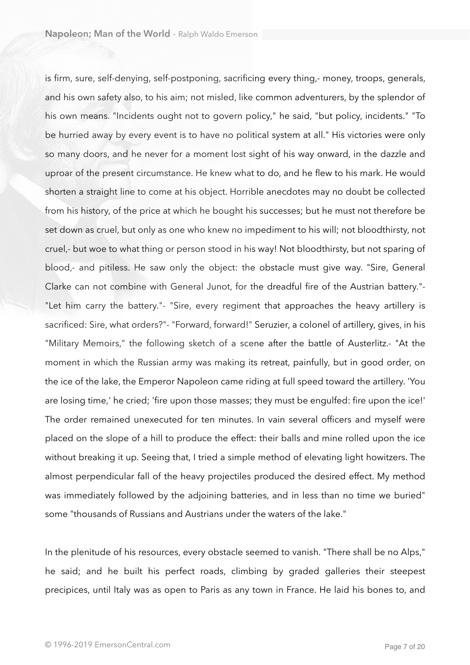is firm, sure, self-denying, self-postponing, sacrificing every thing,- money, troops, generals, and his own safety also, to his aim; not misled, like common adventurers, by the splendor of his own means. "Incidents ought not to govern policy," he said, "but policy, incidents." "To be hurried away by every event is to have no political system at all." His victories were only so many doors, and he never for a moment lost sight of his way onward, in the dazzle and uproar of the present circumstance. He knew what to do, and he flew to his mark. He would shorten a straight line to come at his object. Horrible anecdotes may no doubt be collected from his history, of the price at which he bought his successes; but he must not therefore be set down as cruel, but only as one who knew no impediment to his will; not bloodthirsty, not cruel,- but woe to what thing or person stood in his way! Not bloodthirsty, but not sparing of blood,- and pitiless. He saw only the object: the obstacle must give way. "Sire, General Clarke can not combine with General Junot, for the dreadful fire of the Austrian battery."- "Let him carry the battery."- "Sire, every regiment that approaches the heavy artillery is sacrificed: Sire, what orders?"- "Forward, forward!" Seruzier, a colonel of artillery, gives, in his "Military Memoirs," the following sketch of a scene after the battle of Austerlitz.- "At the moment in which the Russian army was making its retreat, painfully, but in good order, on the ice of the lake, the Emperor Napoleon came riding at full speed toward the artillery. 'You are losing time,' he cried; 'fire upon those masses; they must be engulfed: fire upon the ice!' The order remained unexecuted for ten minutes. In vain several officers and myself were placed on the slope of a hill to produce the effect: their balls and mine rolled upon the ice without breaking it up. Seeing that, I tried a simple method of elevating light howitzers. The almost perpendicular fall of the heavy projectiles produced the desired effect. My method was immediately followed by the adjoining batteries, and in less than no time we buried" some "thousands of Russians and Austrians under the waters of the lake."

In the plenitude of his resources, every obstacle seemed to vanish. "There shall be no Alps," he said; and he built his perfect roads, climbing by graded galleries their steepest precipices, until Italy was as open to Paris as any town in France. He laid his bones to, and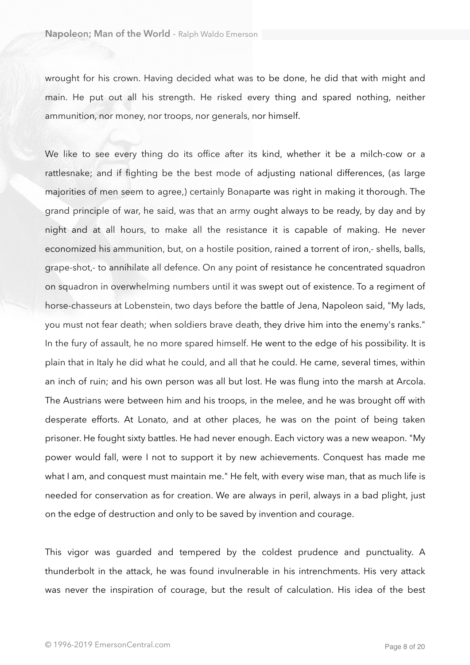wrought for his crown. Having decided what was to be done, he did that with might and main. He put out all his strength. He risked every thing and spared nothing, neither ammunition, nor money, nor troops, nor generals, nor himself.

We like to see every thing do its office after its kind, whether it be a milch-cow or a rattlesnake; and if fighting be the best mode of adjusting national differences, (as large majorities of men seem to agree,) certainly Bonaparte was right in making it thorough. The grand principle of war, he said, was that an army ought always to be ready, by day and by night and at all hours, to make all the resistance it is capable of making. He never economized his ammunition, but, on a hostile position, rained a torrent of iron,- shells, balls, grape-shot,- to annihilate all defence. On any point of resistance he concentrated squadron on squadron in overwhelming numbers until it was swept out of existence. To a regiment of horse-chasseurs at Lobenstein, two days before the battle of Jena, Napoleon said, "My lads, you must not fear death; when soldiers brave death, they drive him into the enemy's ranks." In the fury of assault, he no more spared himself. He went to the edge of his possibility. It is plain that in Italy he did what he could, and all that he could. He came, several times, within an inch of ruin; and his own person was all but lost. He was flung into the marsh at Arcola. The Austrians were between him and his troops, in the melee, and he was brought off with desperate efforts. At Lonato, and at other places, he was on the point of being taken prisoner. He fought sixty battles. He had never enough. Each victory was a new weapon. "My power would fall, were I not to support it by new achievements. Conquest has made me what I am, and conquest must maintain me." He felt, with every wise man, that as much life is needed for conservation as for creation. We are always in peril, always in a bad plight, just on the edge of destruction and only to be saved by invention and courage.

This vigor was guarded and tempered by the coldest prudence and punctuality. A thunderbolt in the attack, he was found invulnerable in his intrenchments. His very attack was never the inspiration of courage, but the result of calculation. His idea of the best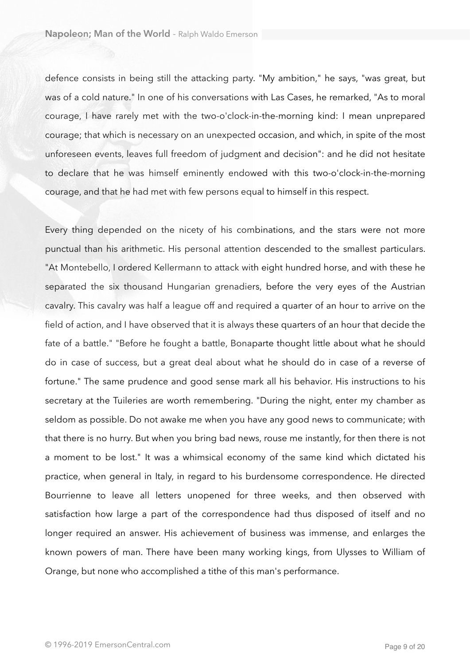defence consists in being still the attacking party. "My ambition," he says, "was great, but was of a cold nature." In one of his conversations with Las Cases, he remarked, "As to moral courage, I have rarely met with the two-o'clock-in-the-morning kind: I mean unprepared courage; that which is necessary on an unexpected occasion, and which, in spite of the most unforeseen events, leaves full freedom of judgment and decision": and he did not hesitate to declare that he was himself eminently endowed with this two-o'clock-in-the-morning courage, and that he had met with few persons equal to himself in this respect.

Every thing depended on the nicety of his combinations, and the stars were not more punctual than his arithmetic. His personal attention descended to the smallest particulars. "At Montebello, I ordered Kellermann to attack with eight hundred horse, and with these he separated the six thousand Hungarian grenadiers, before the very eyes of the Austrian cavalry. This cavalry was half a league off and required a quarter of an hour to arrive on the field of action, and I have observed that it is always these quarters of an hour that decide the fate of a battle." "Before he fought a battle, Bonaparte thought little about what he should do in case of success, but a great deal about what he should do in case of a reverse of fortune." The same prudence and good sense mark all his behavior. His instructions to his secretary at the Tuileries are worth remembering. "During the night, enter my chamber as seldom as possible. Do not awake me when you have any good news to communicate; with that there is no hurry. But when you bring bad news, rouse me instantly, for then there is not a moment to be lost." It was a whimsical economy of the same kind which dictated his practice, when general in Italy, in regard to his burdensome correspondence. He directed Bourrienne to leave all letters unopened for three weeks, and then observed with satisfaction how large a part of the correspondence had thus disposed of itself and no longer required an answer. His achievement of business was immense, and enlarges the known powers of man. There have been many working kings, from Ulysses to William of Orange, but none who accomplished a tithe of this man's performance.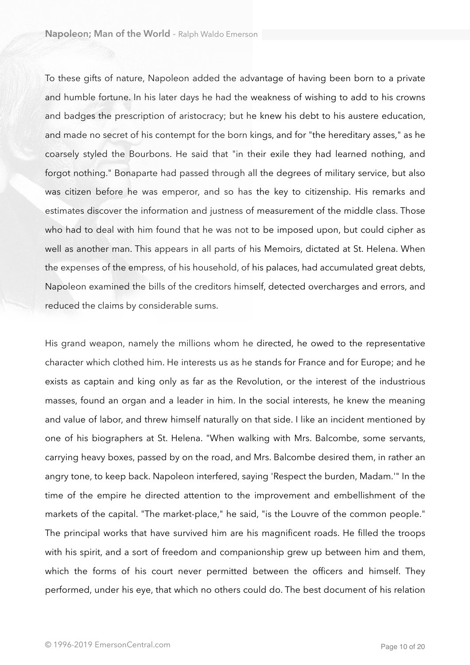To these gifts of nature, Napoleon added the advantage of having been born to a private and humble fortune. In his later days he had the weakness of wishing to add to his crowns and badges the prescription of aristocracy; but he knew his debt to his austere education, and made no secret of his contempt for the born kings, and for "the hereditary asses," as he coarsely styled the Bourbons. He said that "in their exile they had learned nothing, and forgot nothing." Bonaparte had passed through all the degrees of military service, but also was citizen before he was emperor, and so has the key to citizenship. His remarks and estimates discover the information and justness of measurement of the middle class. Those who had to deal with him found that he was not to be imposed upon, but could cipher as well as another man. This appears in all parts of his Memoirs, dictated at St. Helena. When the expenses of the empress, of his household, of his palaces, had accumulated great debts, Napoleon examined the bills of the creditors himself, detected overcharges and errors, and reduced the claims by considerable sums.

His grand weapon, namely the millions whom he directed, he owed to the representative character which clothed him. He interests us as he stands for France and for Europe; and he exists as captain and king only as far as the Revolution, or the interest of the industrious masses, found an organ and a leader in him. In the social interests, he knew the meaning and value of labor, and threw himself naturally on that side. I like an incident mentioned by one of his biographers at St. Helena. "When walking with Mrs. Balcombe, some servants, carrying heavy boxes, passed by on the road, and Mrs. Balcombe desired them, in rather an angry tone, to keep back. Napoleon interfered, saying 'Respect the burden, Madam.'" In the time of the empire he directed attention to the improvement and embellishment of the markets of the capital. "The market-place," he said, "is the Louvre of the common people." The principal works that have survived him are his magnificent roads. He filled the troops with his spirit, and a sort of freedom and companionship grew up between him and them, which the forms of his court never permitted between the officers and himself. They performed, under his eye, that which no others could do. The best document of his relation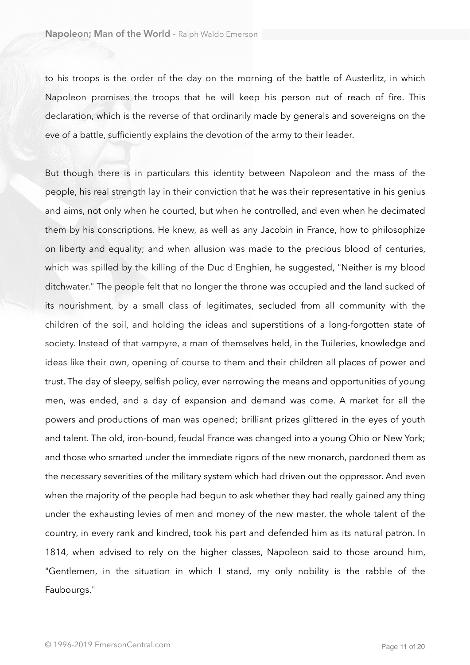to his troops is the order of the day on the morning of the battle of Austerlitz, in which Napoleon promises the troops that he will keep his person out of reach of fire. This declaration, which is the reverse of that ordinarily made by generals and sovereigns on the eve of a battle, sufficiently explains the devotion of the army to their leader.

But though there is in particulars this identity between Napoleon and the mass of the people, his real strength lay in their conviction that he was their representative in his genius and aims, not only when he courted, but when he controlled, and even when he decimated them by his conscriptions. He knew, as well as any Jacobin in France, how to philosophize on liberty and equality; and when allusion was made to the precious blood of centuries, which was spilled by the killing of the Duc d'Enghien, he suggested, "Neither is my blood ditchwater." The people felt that no longer the throne was occupied and the land sucked of its nourishment, by a small class of legitimates, secluded from all community with the children of the soil, and holding the ideas and superstitions of a long-forgotten state of society. Instead of that vampyre, a man of themselves held, in the Tuileries, knowledge and ideas like their own, opening of course to them and their children all places of power and trust. The day of sleepy, selfish policy, ever narrowing the means and opportunities of young men, was ended, and a day of expansion and demand was come. A market for all the powers and productions of man was opened; brilliant prizes glittered in the eyes of youth and talent. The old, iron-bound, feudal France was changed into a young Ohio or New York; and those who smarted under the immediate rigors of the new monarch, pardoned them as the necessary severities of the military system which had driven out the oppressor. And even when the majority of the people had begun to ask whether they had really gained any thing under the exhausting levies of men and money of the new master, the whole talent of the country, in every rank and kindred, took his part and defended him as its natural patron. In 1814, when advised to rely on the higher classes, Napoleon said to those around him, "Gentlemen, in the situation in which I stand, my only nobility is the rabble of the Faubourgs."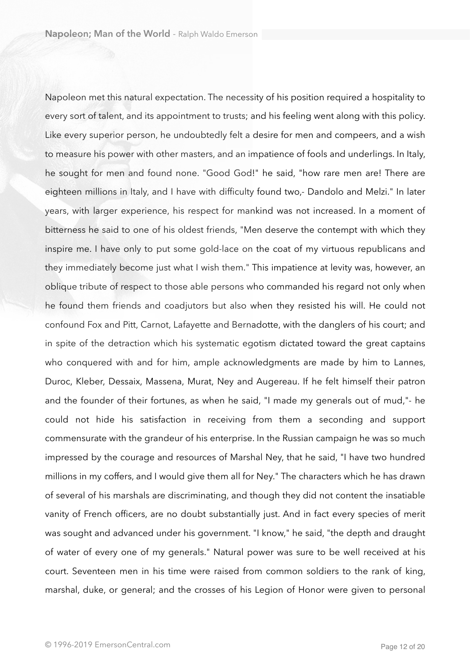Napoleon met this natural expectation. The necessity of his position required a hospitality to every sort of talent, and its appointment to trusts; and his feeling went along with this policy. Like every superior person, he undoubtedly felt a desire for men and compeers, and a wish to measure his power with other masters, and an impatience of fools and underlings. In Italy, he sought for men and found none. "Good God!" he said, "how rare men are! There are eighteen millions in Italy, and I have with difficulty found two,- Dandolo and Melzi." In later years, with larger experience, his respect for mankind was not increased. In a moment of bitterness he said to one of his oldest friends, "Men deserve the contempt with which they inspire me. I have only to put some gold-lace on the coat of my virtuous republicans and they immediately become just what I wish them." This impatience at levity was, however, an oblique tribute of respect to those able persons who commanded his regard not only when he found them friends and coadjutors but also when they resisted his will. He could not confound Fox and Pitt, Carnot, Lafayette and Bernadotte, with the danglers of his court; and in spite of the detraction which his systematic egotism dictated toward the great captains who conquered with and for him, ample acknowledgments are made by him to Lannes, Duroc, Kleber, Dessaix, Massena, Murat, Ney and Augereau. If he felt himself their patron and the founder of their fortunes, as when he said, "I made my generals out of mud,"- he could not hide his satisfaction in receiving from them a seconding and support commensurate with the grandeur of his enterprise. In the Russian campaign he was so much impressed by the courage and resources of Marshal Ney, that he said, "I have two hundred millions in my coffers, and I would give them all for Ney." The characters which he has drawn of several of his marshals are discriminating, and though they did not content the insatiable vanity of French officers, are no doubt substantially just. And in fact every species of merit was sought and advanced under his government. "I know," he said, "the depth and draught of water of every one of my generals." Natural power was sure to be well received at his court. Seventeen men in his time were raised from common soldiers to the rank of king, marshal, duke, or general; and the crosses of his Legion of Honor were given to personal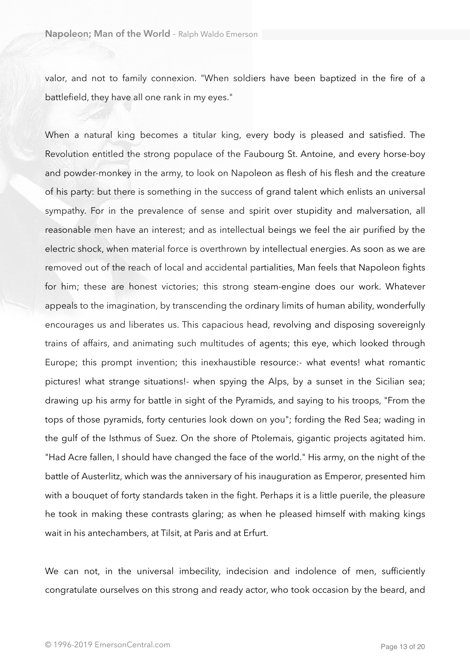valor, and not to family connexion. "When soldiers have been baptized in the fire of a battlefield, they have all one rank in my eyes."

When a natural king becomes a titular king, every body is pleased and satisfied. The Revolution entitled the strong populace of the Faubourg St. Antoine, and every horse-boy and powder-monkey in the army, to look on Napoleon as flesh of his flesh and the creature of his party: but there is something in the success of grand talent which enlists an universal sympathy. For in the prevalence of sense and spirit over stupidity and malversation, all reasonable men have an interest; and as intellectual beings we feel the air purified by the electric shock, when material force is overthrown by intellectual energies. As soon as we are removed out of the reach of local and accidental partialities, Man feels that Napoleon fights for him; these are honest victories; this strong steam-engine does our work. Whatever appeals to the imagination, by transcending the ordinary limits of human ability, wonderfully encourages us and liberates us. This capacious head, revolving and disposing sovereignly trains of affairs, and animating such multitudes of agents; this eye, which looked through Europe; this prompt invention; this inexhaustible resource:- what events! what romantic pictures! what strange situations!- when spying the Alps, by a sunset in the Sicilian sea; drawing up his army for battle in sight of the Pyramids, and saying to his troops, "From the tops of those pyramids, forty centuries look down on you"; fording the Red Sea; wading in the gulf of the Isthmus of Suez. On the shore of Ptolemais, gigantic projects agitated him. "Had Acre fallen, I should have changed the face of the world." His army, on the night of the battle of Austerlitz, which was the anniversary of his inauguration as Emperor, presented him with a bouquet of forty standards taken in the fight. Perhaps it is a little puerile, the pleasure he took in making these contrasts glaring; as when he pleased himself with making kings wait in his antechambers, at Tilsit, at Paris and at Erfurt.

We can not, in the universal imbecility, indecision and indolence of men, sufficiently congratulate ourselves on this strong and ready actor, who took occasion by the beard, and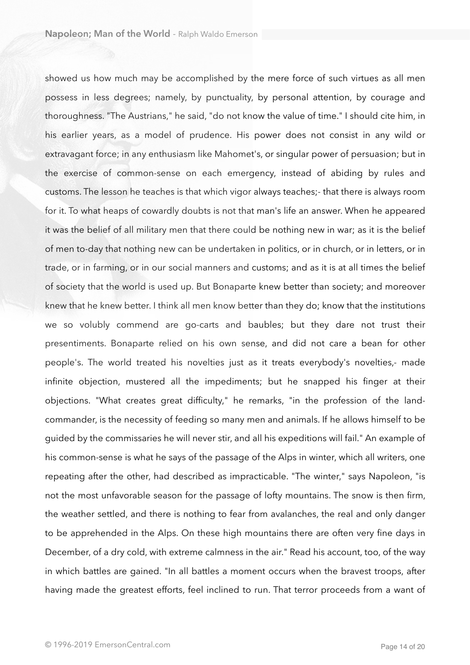showed us how much may be accomplished by the mere force of such virtues as all men possess in less degrees; namely, by punctuality, by personal attention, by courage and thoroughness. "The Austrians," he said, "do not know the value of time." I should cite him, in his earlier years, as a model of prudence. His power does not consist in any wild or extravagant force; in any enthusiasm like Mahomet's, or singular power of persuasion; but in the exercise of common-sense on each emergency, instead of abiding by rules and customs. The lesson he teaches is that which vigor always teaches;- that there is always room for it. To what heaps of cowardly doubts is not that man's life an answer. When he appeared it was the belief of all military men that there could be nothing new in war; as it is the belief of men to-day that nothing new can be undertaken in politics, or in church, or in letters, or in trade, or in farming, or in our social manners and customs; and as it is at all times the belief of society that the world is used up. But Bonaparte knew better than society; and moreover knew that he knew better. I think all men know better than they do; know that the institutions we so volubly commend are go-carts and baubles; but they dare not trust their presentiments. Bonaparte relied on his own sense, and did not care a bean for other people's. The world treated his novelties just as it treats everybody's novelties,- made infinite objection, mustered all the impediments; but he snapped his finger at their objections. "What creates great difficulty," he remarks, "in the profession of the landcommander, is the necessity of feeding so many men and animals. If he allows himself to be guided by the commissaries he will never stir, and all his expeditions will fail." An example of his common-sense is what he says of the passage of the Alps in winter, which all writers, one repeating after the other, had described as impracticable. "The winter," says Napoleon, "is not the most unfavorable season for the passage of lofty mountains. The snow is then firm, the weather settled, and there is nothing to fear from avalanches, the real and only danger to be apprehended in the Alps. On these high mountains there are often very fine days in December, of a dry cold, with extreme calmness in the air." Read his account, too, of the way in which battles are gained. "In all battles a moment occurs when the bravest troops, after having made the greatest efforts, feel inclined to run. That terror proceeds from a want of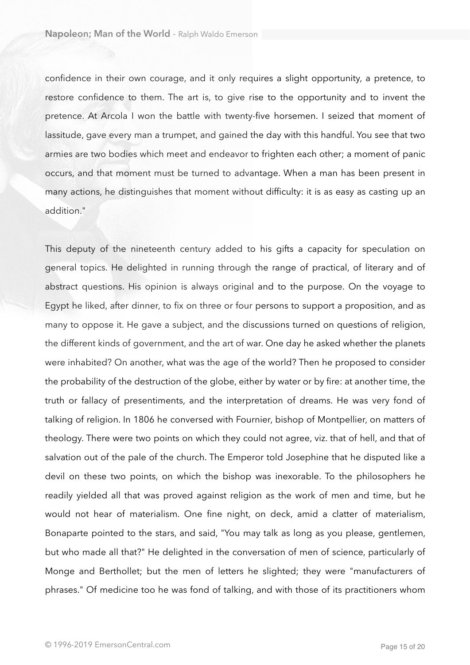confidence in their own courage, and it only requires a slight opportunity, a pretence, to restore confidence to them. The art is, to give rise to the opportunity and to invent the pretence. At Arcola I won the battle with twenty-five horsemen. I seized that moment of lassitude, gave every man a trumpet, and gained the day with this handful. You see that two armies are two bodies which meet and endeavor to frighten each other; a moment of panic occurs, and that moment must be turned to advantage. When a man has been present in many actions, he distinguishes that moment without difficulty: it is as easy as casting up an addition."

This deputy of the nineteenth century added to his gifts a capacity for speculation on general topics. He delighted in running through the range of practical, of literary and of abstract questions. His opinion is always original and to the purpose. On the voyage to Egypt he liked, after dinner, to fix on three or four persons to support a proposition, and as many to oppose it. He gave a subject, and the discussions turned on questions of religion, the different kinds of government, and the art of war. One day he asked whether the planets were inhabited? On another, what was the age of the world? Then he proposed to consider the probability of the destruction of the globe, either by water or by fire: at another time, the truth or fallacy of presentiments, and the interpretation of dreams. He was very fond of talking of religion. In 1806 he conversed with Fournier, bishop of Montpellier, on matters of theology. There were two points on which they could not agree, viz. that of hell, and that of salvation out of the pale of the church. The Emperor told Josephine that he disputed like a devil on these two points, on which the bishop was inexorable. To the philosophers he readily yielded all that was proved against religion as the work of men and time, but he would not hear of materialism. One fine night, on deck, amid a clatter of materialism, Bonaparte pointed to the stars, and said, "You may talk as long as you please, gentlemen, but who made all that?" He delighted in the conversation of men of science, particularly of Monge and Berthollet; but the men of letters he slighted; they were "manufacturers of phrases." Of medicine too he was fond of talking, and with those of its practitioners whom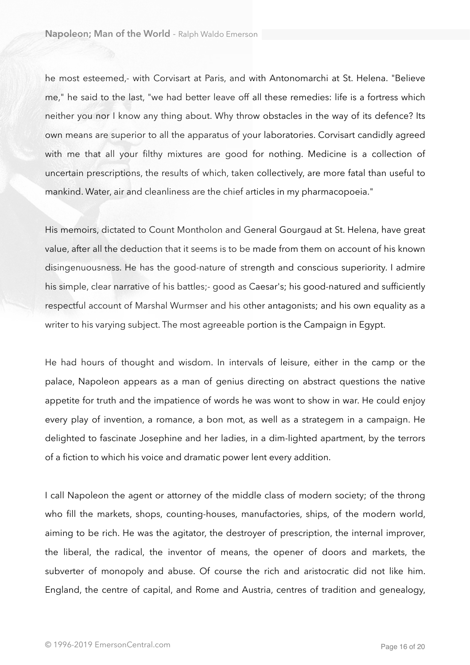he most esteemed,- with Corvisart at Paris, and with Antonomarchi at St. Helena. "Believe me," he said to the last, "we had better leave off all these remedies: life is a fortress which neither you nor I know any thing about. Why throw obstacles in the way of its defence? Its own means are superior to all the apparatus of your laboratories. Corvisart candidly agreed with me that all your filthy mixtures are good for nothing. Medicine is a collection of uncertain prescriptions, the results of which, taken collectively, are more fatal than useful to mankind. Water, air and cleanliness are the chief articles in my pharmacopoeia."

His memoirs, dictated to Count Montholon and General Gourgaud at St. Helena, have great value, after all the deduction that it seems is to be made from them on account of his known disingenuousness. He has the good-nature of strength and conscious superiority. I admire his simple, clear narrative of his battles;- good as Caesar's; his good-natured and sufficiently respectful account of Marshal Wurmser and his other antagonists; and his own equality as a writer to his varying subject. The most agreeable portion is the Campaign in Egypt.

He had hours of thought and wisdom. In intervals of leisure, either in the camp or the palace, Napoleon appears as a man of genius directing on abstract questions the native appetite for truth and the impatience of words he was wont to show in war. He could enjoy every play of invention, a romance, a bon mot, as well as a strategem in a campaign. He delighted to fascinate Josephine and her ladies, in a dim-lighted apartment, by the terrors of a fiction to which his voice and dramatic power lent every addition.

I call Napoleon the agent or attorney of the middle class of modern society; of the throng who fill the markets, shops, counting-houses, manufactories, ships, of the modern world, aiming to be rich. He was the agitator, the destroyer of prescription, the internal improver, the liberal, the radical, the inventor of means, the opener of doors and markets, the subverter of monopoly and abuse. Of course the rich and aristocratic did not like him. England, the centre of capital, and Rome and Austria, centres of tradition and genealogy,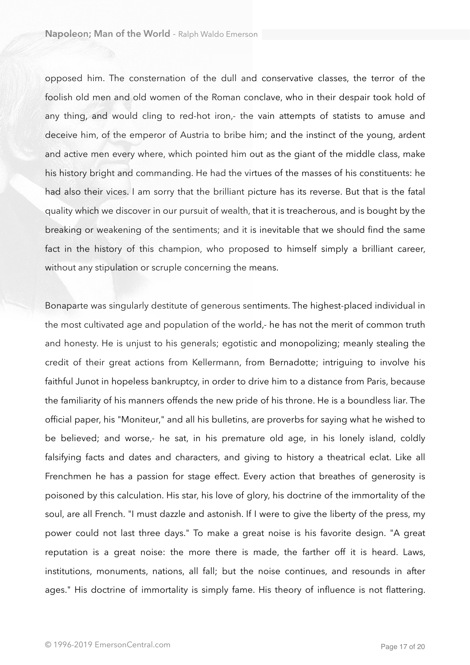opposed him. The consternation of the dull and conservative classes, the terror of the foolish old men and old women of the Roman conclave, who in their despair took hold of any thing, and would cling to red-hot iron,- the vain attempts of statists to amuse and deceive him, of the emperor of Austria to bribe him; and the instinct of the young, ardent and active men every where, which pointed him out as the giant of the middle class, make his history bright and commanding. He had the virtues of the masses of his constituents: he had also their vices. I am sorry that the brilliant picture has its reverse. But that is the fatal quality which we discover in our pursuit of wealth, that it is treacherous, and is bought by the breaking or weakening of the sentiments; and it is inevitable that we should find the same fact in the history of this champion, who proposed to himself simply a brilliant career, without any stipulation or scruple concerning the means.

Bonaparte was singularly destitute of generous sentiments. The highest-placed individual in the most cultivated age and population of the world,- he has not the merit of common truth and honesty. He is unjust to his generals; egotistic and monopolizing; meanly stealing the credit of their great actions from Kellermann, from Bernadotte; intriguing to involve his faithful Junot in hopeless bankruptcy, in order to drive him to a distance from Paris, because the familiarity of his manners offends the new pride of his throne. He is a boundless liar. The official paper, his "Moniteur," and all his bulletins, are proverbs for saying what he wished to be believed; and worse,- he sat, in his premature old age, in his lonely island, coldly falsifying facts and dates and characters, and giving to history a theatrical eclat. Like all Frenchmen he has a passion for stage effect. Every action that breathes of generosity is poisoned by this calculation. His star, his love of glory, his doctrine of the immortality of the soul, are all French. "I must dazzle and astonish. If I were to give the liberty of the press, my power could not last three days." To make a great noise is his favorite design. "A great reputation is a great noise: the more there is made, the farther off it is heard. Laws, institutions, monuments, nations, all fall; but the noise continues, and resounds in after ages." His doctrine of immortality is simply fame. His theory of influence is not flattering.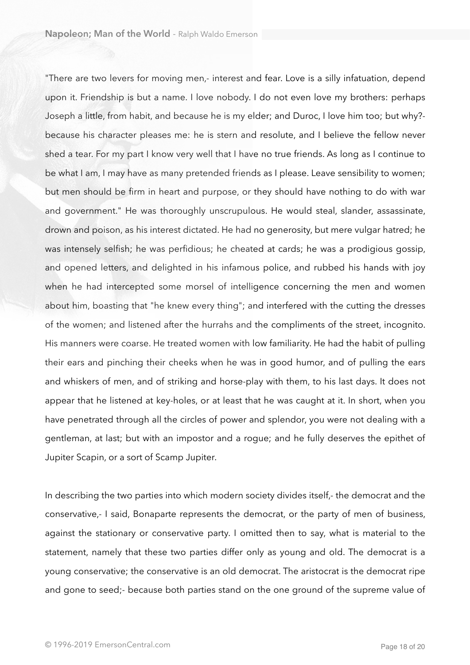"There are two levers for moving men,- interest and fear. Love is a silly infatuation, depend upon it. Friendship is but a name. I love nobody. I do not even love my brothers: perhaps Joseph a little, from habit, and because he is my elder; and Duroc, I love him too; but why? because his character pleases me: he is stern and resolute, and I believe the fellow never shed a tear. For my part I know very well that I have no true friends. As long as I continue to be what I am, I may have as many pretended friends as I please. Leave sensibility to women; but men should be firm in heart and purpose, or they should have nothing to do with war and government." He was thoroughly unscrupulous. He would steal, slander, assassinate, drown and poison, as his interest dictated. He had no generosity, but mere vulgar hatred; he was intensely selfish; he was perfidious; he cheated at cards; he was a prodigious gossip, and opened letters, and delighted in his infamous police, and rubbed his hands with joy when he had intercepted some morsel of intelligence concerning the men and women about him, boasting that "he knew every thing"; and interfered with the cutting the dresses of the women; and listened after the hurrahs and the compliments of the street, incognito. His manners were coarse. He treated women with low familiarity. He had the habit of pulling their ears and pinching their cheeks when he was in good humor, and of pulling the ears and whiskers of men, and of striking and horse-play with them, to his last days. It does not appear that he listened at key-holes, or at least that he was caught at it. In short, when you have penetrated through all the circles of power and splendor, you were not dealing with a gentleman, at last; but with an impostor and a rogue; and he fully deserves the epithet of Jupiter Scapin, or a sort of Scamp Jupiter.

In describing the two parties into which modern society divides itself,- the democrat and the conservative,- I said, Bonaparte represents the democrat, or the party of men of business, against the stationary or conservative party. I omitted then to say, what is material to the statement, namely that these two parties differ only as young and old. The democrat is a young conservative; the conservative is an old democrat. The aristocrat is the democrat ripe and gone to seed;- because both parties stand on the one ground of the supreme value of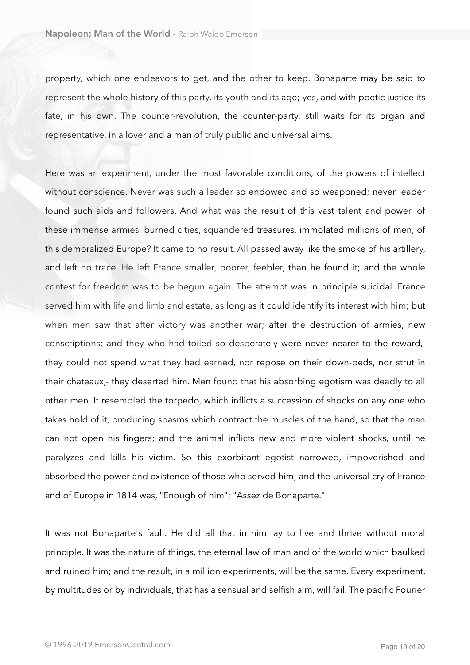property, which one endeavors to get, and the other to keep. Bonaparte may be said to represent the whole history of this party, its youth and its age; yes, and with poetic justice its fate, in his own. The counter-revolution, the counter-party, still waits for its organ and representative, in a lover and a man of truly public and universal aims.

Here was an experiment, under the most favorable conditions, of the powers of intellect without conscience. Never was such a leader so endowed and so weaponed; never leader found such aids and followers. And what was the result of this vast talent and power, of these immense armies, burned cities, squandered treasures, immolated millions of men, of this demoralized Europe? It came to no result. All passed away like the smoke of his artillery, and left no trace. He left France smaller, poorer, feebler, than he found it; and the whole contest for freedom was to be begun again. The attempt was in principle suicidal. France served him with life and limb and estate, as long as it could identify its interest with him; but when men saw that after victory was another war; after the destruction of armies, new conscriptions; and they who had toiled so desperately were never nearer to the reward, they could not spend what they had earned, nor repose on their down-beds, nor strut in their chateaux,- they deserted him. Men found that his absorbing egotism was deadly to all other men. It resembled the torpedo, which inflicts a succession of shocks on any one who takes hold of it, producing spasms which contract the muscles of the hand, so that the man can not open his fingers; and the animal inflicts new and more violent shocks, until he paralyzes and kills his victim. So this exorbitant egotist narrowed, impoverished and absorbed the power and existence of those who served him; and the universal cry of France and of Europe in 1814 was, "Enough of him"; "Assez de Bonaparte."

It was not Bonaparte's fault. He did all that in him lay to live and thrive without moral principle. It was the nature of things, the eternal law of man and of the world which baulked and ruined him; and the result, in a million experiments, will be the same. Every experiment, by multitudes or by individuals, that has a sensual and selfish aim, will fail. The pacific Fourier